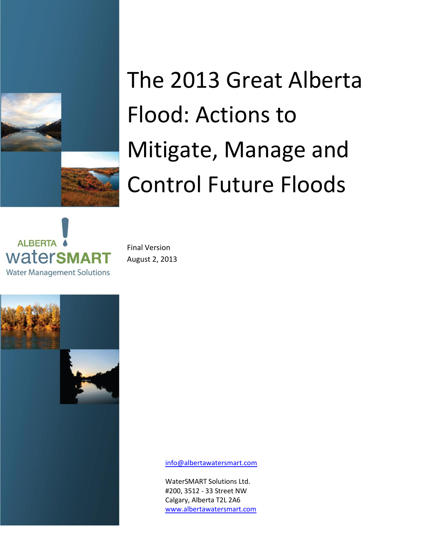

# The 2013 Great Alberta Flood: Actions to Mitigate, Manage and Control Future Floods



Final Version August 2, 2013



[info@albertawatersmart.com](mailto:info@albertawatersmart.com)

WaterSMART Solutions Ltd. #200, 3512 - 33 Street NW Calgary, Alberta T2L 2A6 [www.albertawatersmart.com](file:///C:/Users/Kim.Sturgess/AppData/Local/Microsoft/Windows/Temporary%20Internet%20Files/Content.Outlook/ZANTGXRA/www.albertawatersmart.com)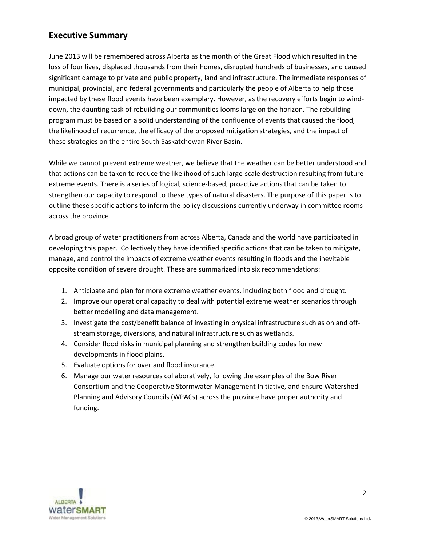## **Executive Summary**

June 2013 will be remembered across Alberta as the month of the Great Flood which resulted in the loss of four lives, displaced thousands from their homes, disrupted hundreds of businesses, and caused significant damage to private and public property, land and infrastructure. The immediate responses of municipal, provincial, and federal governments and particularly the people of Alberta to help those impacted by these flood events have been exemplary. However, as the recovery efforts begin to winddown, the daunting task of rebuilding our communities looms large on the horizon. The rebuilding program must be based on a solid understanding of the confluence of events that caused the flood, the likelihood of recurrence, the efficacy of the proposed mitigation strategies, and the impact of these strategies on the entire South Saskatchewan River Basin.

While we cannot prevent extreme weather, we believe that the weather can be better understood and that actions can be taken to reduce the likelihood of such large-scale destruction resulting from future extreme events. There is a series of logical, science-based, proactive actions that can be taken to strengthen our capacity to respond to these types of natural disasters. The purpose of this paper is to outline these specific actions to inform the policy discussions currently underway in committee rooms across the province.

A broad group of water practitioners from across Alberta, Canada and the world have participated in developing this paper. Collectively they have identified specific actions that can be taken to mitigate, manage, and control the impacts of extreme weather events resulting in floods and the inevitable opposite condition of severe drought. These are summarized into six recommendations:

- 1. Anticipate and plan for more extreme weather events, including both flood and drought.
- 2. Improve our operational capacity to deal with potential extreme weather scenarios through better modelling and data management.
- 3. Investigate the cost/benefit balance of investing in physical infrastructure such as on and offstream storage, diversions, and natural infrastructure such as wetlands.
- 4. Consider flood risks in municipal planning and strengthen building codes for new developments in flood plains.
- 5. Evaluate options for overland flood insurance.
- 6. Manage our water resources collaboratively, following the examples of the Bow River Consortium and the Cooperative Stormwater Management Initiative, and ensure Watershed Planning and Advisory Councils (WPACs) across the province have proper authority and funding.

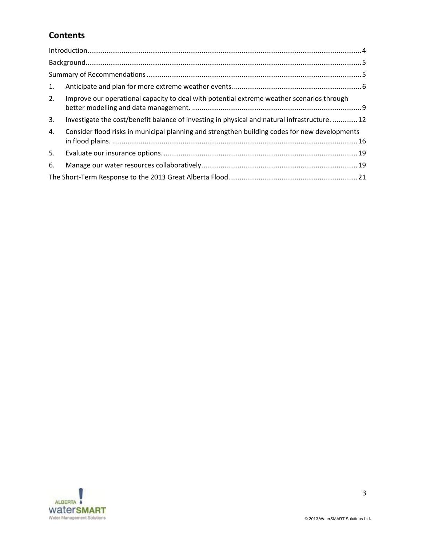# **Contents**

| 1. |                                                                                               |  |  |  |  |
|----|-----------------------------------------------------------------------------------------------|--|--|--|--|
| 2. | Improve our operational capacity to deal with potential extreme weather scenarios through     |  |  |  |  |
| 3. | Investigate the cost/benefit balance of investing in physical and natural infrastructure. 12  |  |  |  |  |
| 4. | Consider flood risks in municipal planning and strengthen building codes for new developments |  |  |  |  |
| 5. |                                                                                               |  |  |  |  |
| 6. |                                                                                               |  |  |  |  |
|    |                                                                                               |  |  |  |  |

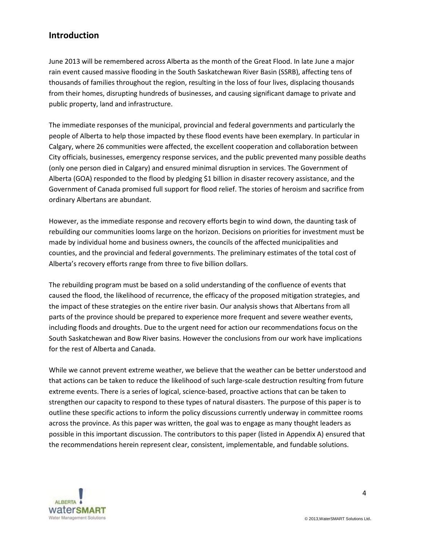### <span id="page-3-0"></span>**Introduction**

June 2013 will be remembered across Alberta as the month of the Great Flood. In late June a major rain event caused massive flooding in the South Saskatchewan River Basin (SSRB), affecting tens of thousands of families throughout the region, resulting in the loss of four lives, displacing thousands from their homes, disrupting hundreds of businesses, and causing significant damage to private and public property, land and infrastructure.

The immediate responses of the municipal, provincial and federal governments and particularly the people of Alberta to help those impacted by these flood events have been exemplary. In particular in Calgary, where 26 communities were affected, the excellent cooperation and collaboration between City officials, businesses, emergency response services, and the public prevented many possible deaths (only one person died in Calgary) and ensured minimal disruption in services. The Government of Alberta (GOA) responded to the flood by pledging \$1 billion in disaster recovery assistance, and the Government of Canada promised full support for flood relief. The stories of heroism and sacrifice from ordinary Albertans are abundant.

However, as the immediate response and recovery efforts begin to wind down, the daunting task of rebuilding our communities looms large on the horizon. Decisions on priorities for investment must be made by individual home and business owners, the councils of the affected municipalities and counties, and the provincial and federal governments. The preliminary estimates of the total cost of Alberta's recovery efforts range from three to five billion dollars.

The rebuilding program must be based on a solid understanding of the confluence of events that caused the flood, the likelihood of recurrence, the efficacy of the proposed mitigation strategies, and the impact of these strategies on the entire river basin. Our analysis shows that Albertans from all parts of the province should be prepared to experience more frequent and severe weather events, including floods and droughts. Due to the urgent need for action our recommendations focus on the South Saskatchewan and Bow River basins. However the conclusions from our work have implications for the rest of Alberta and Canada.

While we cannot prevent extreme weather, we believe that the weather can be better understood and that actions can be taken to reduce the likelihood of such large-scale destruction resulting from future extreme events. There is a series of logical, science-based, proactive actions that can be taken to strengthen our capacity to respond to these types of natural disasters. The purpose of this paper is to outline these specific actions to inform the policy discussions currently underway in committee rooms across the province. As this paper was written, the goal was to engage as many thought leaders as possible in this important discussion. The contributors to this paper (listed in Appendix A) ensured that the recommendations herein represent clear, consistent, implementable, and fundable solutions.

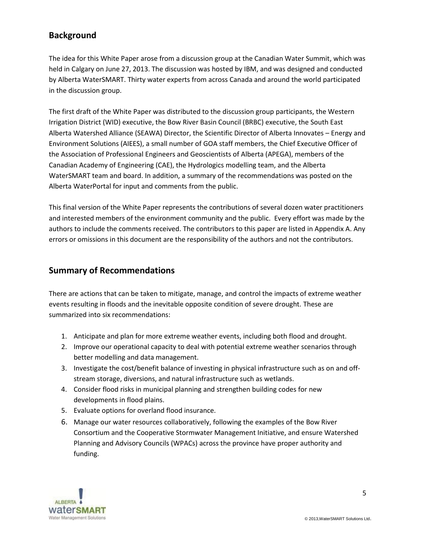# <span id="page-4-0"></span>**Background**

The idea for this White Paper arose from a discussion group at the Canadian Water Summit, which was held in Calgary on June 27, 2013. The discussion was hosted by IBM, and was designed and conducted by Alberta WaterSMART. Thirty water experts from across Canada and around the world participated in the discussion group.

The first draft of the White Paper was distributed to the discussion group participants, the Western Irrigation District (WID) executive, the Bow River Basin Council (BRBC) executive, the South East Alberta Watershed Alliance (SEAWA) Director, the Scientific Director of Alberta Innovates – Energy and Environment Solutions (AIEES), a small number of GOA staff members, the Chief Executive Officer of the Association of Professional Engineers and Geoscientists of Alberta (APEGA), members of the Canadian Academy of Engineering (CAE), the Hydrologics modelling team, and the Alberta WaterSMART team and board. In addition, a summary of the recommendations was posted on the Alberta WaterPortal for input and comments from the public.

This final version of the White Paper represents the contributions of several dozen water practitioners and interested members of the environment community and the public. Every effort was made by the authors to include the comments received. The contributors to this paper are listed in Appendix A. Any errors or omissions in this document are the responsibility of the authors and not the contributors.

### <span id="page-4-1"></span>**Summary of Recommendations**

There are actions that can be taken to mitigate, manage, and control the impacts of extreme weather events resulting in floods and the inevitable opposite condition of severe drought. These are summarized into six recommendations:

- 1. Anticipate and plan for more extreme weather events, including both flood and drought.
- 2. Improve our operational capacity to deal with potential extreme weather scenarios through better modelling and data management.
- 3. Investigate the cost/benefit balance of investing in physical infrastructure such as on and offstream storage, diversions, and natural infrastructure such as wetlands.
- 4. Consider flood risks in municipal planning and strengthen building codes for new developments in flood plains.
- 5. Evaluate options for overland flood insurance.
- 6. Manage our water resources collaboratively, following the examples of the Bow River Consortium and the Cooperative Stormwater Management Initiative, and ensure Watershed Planning and Advisory Councils (WPACs) across the province have proper authority and funding.

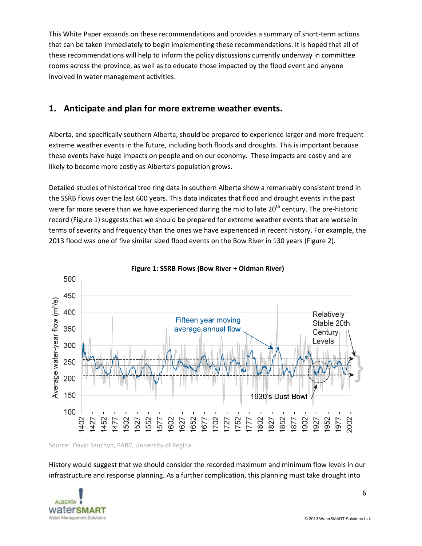This White Paper expands on these recommendations and provides a summary of short-term actions that can be taken immediately to begin implementing these recommendations. It is hoped that all of these recommendations will help to inform the policy discussions currently underway in committee rooms across the province, as well as to educate those impacted by the flood event and anyone involved in water management activities.

#### <span id="page-5-0"></span>**1. Anticipate and plan for more extreme weather events.**

Alberta, and specifically southern Alberta, should be prepared to experience larger and more frequent extreme weather events in the future, including both floods and droughts. This is important because these events have huge impacts on people and on our economy. These impacts are costly and are likely to become more costly as Alberta's population grows.

Detailed studies of historical tree ring data in southern Alberta show a remarkably consistent trend in the SSRB flows over the last 600 years. This data indicates that flood and drought events in the past were far more severe than we have experienced during the mid to late 20<sup>th</sup> century. The pre-historic record (Figure 1) suggests that we should be prepared for extreme weather events that are worse in terms of severity and frequency than the ones we have experienced in recent history. For example, the 2013 flood was one of five similar sized flood events on the Bow River in 130 years (Figure 2).





Source: David Sauchyn, PARC, University of Regina

History would suggest that we should consider the recorded maximum and minimum flow levels in our infrastructure and response planning. As a further complication, this planning must take drought into

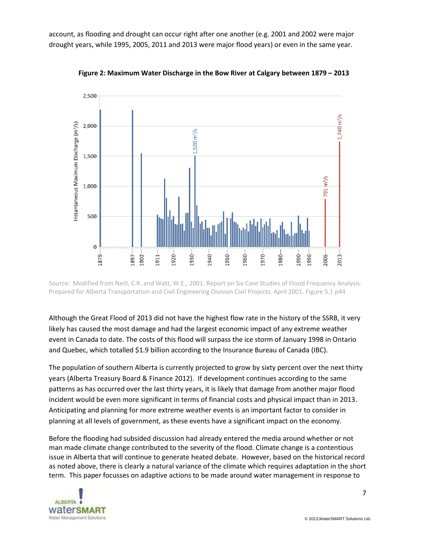account, as flooding and drought can occur right after one another (e.g. 2001 and 2002 were major drought years, while 1995, 2005, 2011 and 2013 were major flood years) or even in the same year.



**Figure 2: Maximum Water Discharge in the Bow River at Calgary between 1879 – 2013**

Source: Modified from Neill, C.R. and Watt, W.E., 2001. Report on Six Case Studies of Flood Frequency Analysis. Prepared for Alberta Transportation and Civil Engineering Division Civil Projects. April 2001. Figure 5.1 p44

Although the Great Flood of 2013 did not have the highest flow rate in the history of the SSRB, it very likely has caused the most damage and had the largest economic impact of any extreme weather event in Canada to date. The costs of this flood will surpass the ice storm of January 1998 in Ontario and Quebec, which totalled \$1.9 billion according to the Insurance Bureau of Canada (IBC).

The population of southern Alberta is currently projected to grow by sixty percent over the next thirty years (Alberta Treasury Board & Finance 2012). If development continues according to the same patterns as has occurred over the last thirty years, it is likely that damage from another major flood incident would be even more significant in terms of financial costs and physical impact than in 2013. Anticipating and planning for more extreme weather events is an important factor to consider in planning at all levels of government, as these events have a significant impact on the economy.

Before the flooding had subsided discussion had already entered the media around whether or not man made climate change contributed to the severity of the flood. Climate change is a contentious issue in Alberta that will continue to generate heated debate. However, based on the historical record as noted above, there is clearly a natural variance of the climate which requires adaptation in the short term. This paper focusses on adaptive actions to be made around water management in response to

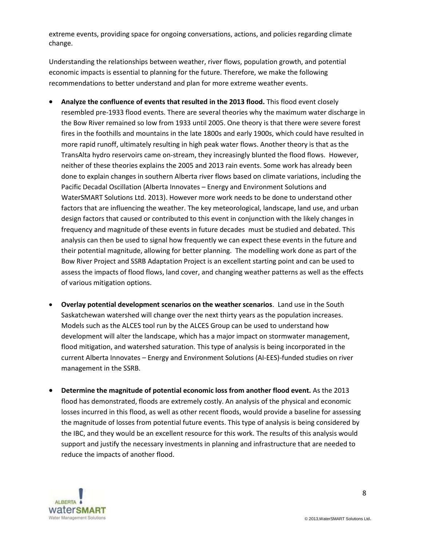extreme events, providing space for ongoing conversations, actions, and policies regarding climate change.

Understanding the relationships between weather, river flows, population growth, and potential economic impacts is essential to planning for the future. Therefore, we make the following recommendations to better understand and plan for more extreme weather events.

- **Analyze the confluence of events that resulted in the 2013 flood.** This flood event closely resembled pre-1933 flood events. There are several theories why the maximum water discharge in the Bow River remained so low from 1933 until 2005. One theory is that there were severe forest fires in the foothills and mountains in the late 1800s and early 1900s, which could have resulted in more rapid runoff, ultimately resulting in high peak water flows. Another theory is that as the TransAlta hydro reservoirs came on-stream, they increasingly blunted the flood flows. However, neither of these theories explains the 2005 and 2013 rain events. Some work has already been done to explain changes in southern Alberta river flows based on climate variations, including the Pacific Decadal Oscillation (Alberta Innovates – Energy and Environment Solutions and WaterSMART Solutions Ltd. 2013). However more work needs to be done to understand other factors that are influencing the weather. The key meteorological, landscape, land use, and urban design factors that caused or contributed to this event in conjunction with the likely changes in frequency and magnitude of these events in future decades must be studied and debated. This analysis can then be used to signal how frequently we can expect these events in the future and their potential magnitude, allowing for better planning. The modelling work done as part of the Bow River Project and SSRB Adaptation Project is an excellent starting point and can be used to assess the impacts of flood flows, land cover, and changing weather patterns as well as the effects of various mitigation options.
- **Overlay potential development scenarios on the weather scenarios**. Land use in the South Saskatchewan watershed will change over the next thirty years as the population increases. Models such as the ALCES tool run by the ALCES Group can be used to understand how development will alter the landscape, which has a major impact on stormwater management, flood mitigation, and watershed saturation. This type of analysis is being incorporated in the current Alberta Innovates – Energy and Environment Solutions (AI-EES)-funded studies on river management in the SSRB.
- **Determine the magnitude of potential economic loss from another flood event.** As the 2013 flood has demonstrated, floods are extremely costly. An analysis of the physical and economic losses incurred in this flood, as well as other recent floods, would provide a baseline for assessing the magnitude of losses from potential future events. This type of analysis is being considered by the IBC, and they would be an excellent resource for this work. The results of this analysis would support and justify the necessary investments in planning and infrastructure that are needed to reduce the impacts of another flood.

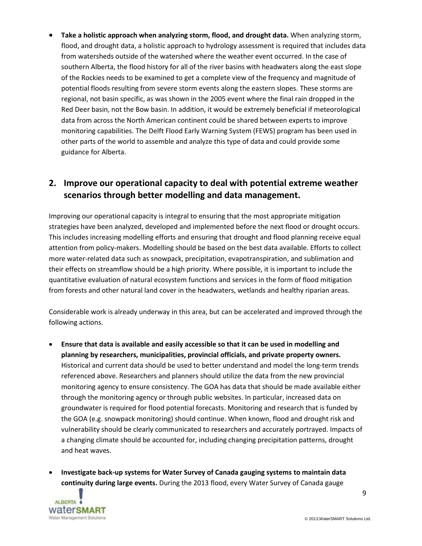**Take a holistic approach when analyzing storm, flood, and drought data.** When analyzing storm, flood, and drought data, a holistic approach to hydrology assessment is required that includes data from watersheds outside of the watershed where the weather event occurred. In the case of southern Alberta, the flood history for all of the river basins with headwaters along the east slope of the Rockies needs to be examined to get a complete view of the frequency and magnitude of potential floods resulting from severe storm events along the eastern slopes. These storms are regional, not basin specific, as was shown in the 2005 event where the final rain dropped in the Red Deer basin, not the Bow basin. In addition, it would be extremely beneficial if meteorological data from across the North American continent could be shared between experts to improve monitoring capabilities. The Delft Flood Early Warning System (FEWS) program has been used in other parts of the world to assemble and analyze this type of data and could provide some guidance for Alberta.

# <span id="page-8-0"></span>**2. Improve our operational capacity to deal with potential extreme weather scenarios through better modelling and data management.**

Improving our operational capacity is integral to ensuring that the most appropriate mitigation strategies have been analyzed, developed and implemented before the next flood or drought occurs. This includes increasing modelling efforts and ensuring that drought and flood planning receive equal attention from policy-makers. Modelling should be based on the best data available. Efforts to collect more water-related data such as snowpack, precipitation, evapotranspiration, and sublimation and their effects on streamflow should be a high priority. Where possible, it is important to include the quantitative evaluation of natural ecosystem functions and services in the form of flood mitigation from forests and other natural land cover in the headwaters, wetlands and healthy riparian areas.

Considerable work is already underway in this area, but can be accelerated and improved through the following actions.

- **Ensure that data is available and easily accessible so that it can be used in modelling and planning by researchers, municipalities, provincial officials, and private property owners.**  Historical and current data should be used to better understand and model the long-term trends referenced above. Researchers and planners should utilize the data from the new provincial monitoring agency to ensure consistency. The GOA has data that should be made available either through the monitoring agency or through public websites. In particular, increased data on groundwater is required for flood potential forecasts. Monitoring and research that is funded by the GOA (e.g. snowpack monitoring) should continue. When known, flood and drought risk and vulnerability should be clearly communicated to researchers and accurately portrayed. Impacts of a changing climate should be accounted for, including changing precipitation patterns, drought and heat waves.
- **Investigate back-up systems for Water Survey of Canada gauging systems to maintain data continuity during large events.** During the 2013 flood, every Water Survey of Canada gauge

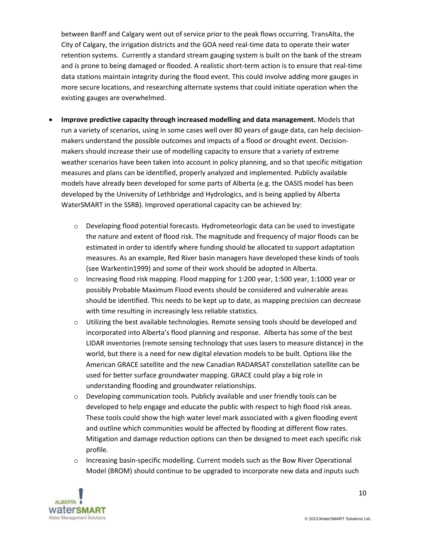between Banff and Calgary went out of service prior to the peak flows occurring. TransAlta, the City of Calgary, the irrigation districts and the GOA need real-time data to operate their water retention systems. Currently a standard stream gauging system is built on the bank of the stream and is prone to being damaged or flooded. A realistic short-term action is to ensure that real-time data stations maintain integrity during the flood event. This could involve adding more gauges in more secure locations, and researching alternate systems that could initiate operation when the existing gauges are overwhelmed.

- **Improve predictive capacity through increased modelling and data management.** Models that run a variety of scenarios, using in some cases well over 80 years of gauge data, can help decisionmakers understand the possible outcomes and impacts of a flood or drought event. Decisionmakers should increase their use of modelling capacity to ensure that a variety of extreme weather scenarios have been taken into account in policy planning, and so that specific mitigation measures and plans can be identified, properly analyzed and implemented. Publicly available models have already been developed for some parts of Alberta (e.g. the OASIS model has been developed by the University of Lethbridge and Hydrologics, and is being applied by Alberta WaterSMART in the SSRB). Improved operational capacity can be achieved by:
	- $\circ$  Developing flood potential forecasts. Hydrometeorlogic data can be used to investigate the nature and extent of flood risk. The magnitude and frequency of major floods can be estimated in order to identify where funding should be allocated to support adaptation measures. As an example, Red River basin managers have developed these kinds of tools (see Warkentin1999) and some of their work should be adopted in Alberta.
	- o Increasing flood risk mapping. Flood mapping for 1:200 year, 1:500 year, 1:1000 year or possibly Probable Maximum Flood events should be considered and vulnerable areas should be identified. This needs to be kept up to date, as mapping precision can decrease with time resulting in increasingly less reliable statistics.
	- o Utilizing the best available technologies. Remote sensing tools should be developed and incorporated into Alberta's flood planning and response. Alberta has some of the best LIDAR inventories (remote sensing technology that uses lasers to measure distance) in the world, but there is a need for new digital elevation models to be built. Options like the American GRACE satellite and the new Canadian RADARSAT constellation satellite can be used for better surface groundwater mapping. GRACE could play a big role in understanding flooding and groundwater relationships.
	- $\circ$  Developing communication tools. Publicly available and user friendly tools can be developed to help engage and educate the public with respect to high flood risk areas. These tools could show the high water level mark associated with a given flooding event and outline which communities would be affected by flooding at different flow rates. Mitigation and damage reduction options can then be designed to meet each specific risk profile.
	- $\circ$  Increasing basin-specific modelling. Current models such as the Bow River Operational Model (BROM) should continue to be upgraded to incorporate new data and inputs such

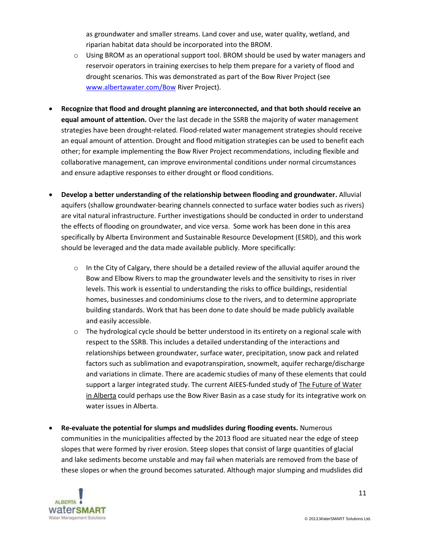as groundwater and smaller streams. Land cover and use, water quality, wetland, and riparian habitat data should be incorporated into the BROM.

- $\circ$  Using BROM as an operational support tool. BROM should be used by water managers and reservoir operators in training exercises to help them prepare for a variety of flood and drought scenarios. This was demonstrated as part of the Bow River Project (see [www.albertawater.com/Bow](http://www.albertawater.com/Bow) River Project).
- **Recognize that flood and drought planning are interconnected, and that both should receive an equal amount of attention.** Over the last decade in the SSRB the majority of water management strategies have been drought-related. Flood-related water management strategies should receive an equal amount of attention. Drought and flood mitigation strategies can be used to benefit each other; for example implementing the Bow River Project recommendations, including flexible and collaborative management, can improve environmental conditions under normal circumstances and ensure adaptive responses to either drought or flood conditions.
- **Develop a better understanding of the relationship between flooding and groundwater.** Alluvial aquifers (shallow groundwater-bearing channels connected to surface water bodies such as rivers) are vital natural infrastructure. Further investigations should be conducted in order to understand the effects of flooding on groundwater, and vice versa. Some work has been done in this area specifically by Alberta Environment and Sustainable Resource Development (ESRD), and this work should be leveraged and the data made available publicly. More specifically:
	- $\circ$  In the City of Calgary, there should be a detailed review of the alluvial aquifer around the Bow and Elbow Rivers to map the groundwater levels and the sensitivity to rises in river levels. This work is essential to understanding the risks to office buildings, residential homes, businesses and condominiums close to the rivers, and to determine appropriate building standards. Work that has been done to date should be made publicly available and easily accessible.
	- $\circ$  The hydrological cycle should be better understood in its entirety on a regional scale with respect to the SSRB. This includes a detailed understanding of the interactions and relationships between groundwater, surface water, precipitation, snow pack and related factors such as sublimation and evapotranspiration, snowmelt, aquifer recharge/discharge and variations in climate. There are academic studies of many of these elements that could support a larger integrated study. The current AIEES-funded study of The Future of Water in Alberta could perhaps use the Bow River Basin as a case study for its integrative work on water issues in Alberta.
- **Re-evaluate the potential for slumps and mudslides during flooding events.** Numerous communities in the municipalities affected by the 2013 flood are situated near the edge of steep slopes that were formed by river erosion. Steep slopes that consist of large quantities of glacial and lake sediments become unstable and may fail when materials are removed from the base of these slopes or when the ground becomes saturated. Although major slumping and mudslides did

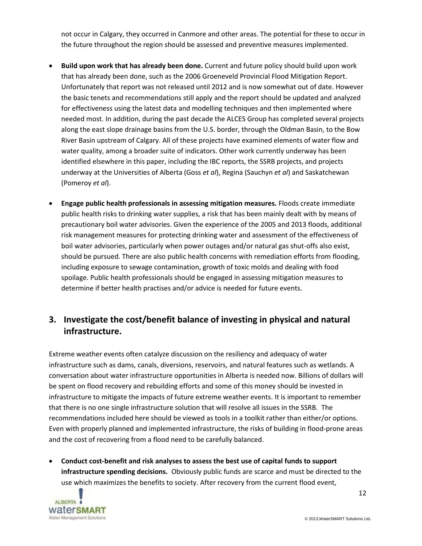not occur in Calgary, they occurred in Canmore and other areas. The potential for these to occur in the future throughout the region should be assessed and preventive measures implemented.

- **Build upon work that has already been done.** Current and future policy should build upon work that has already been done, such as the 2006 Groeneveld Provincial Flood Mitigation Report. Unfortunately that report was not released until 2012 and is now somewhat out of date. However the basic tenets and recommendations still apply and the report should be updated and analyzed for effectiveness using the latest data and modelling techniques and then implemented where needed most. In addition, during the past decade the ALCES Group has completed several projects along the east slope drainage basins from the U.S. border, through the Oldman Basin, to the Bow River Basin upstream of Calgary. All of these projects have examined elements of water flow and water quality, among a broader suite of indicators. Other work currently underway has been identified elsewhere in this paper, including the IBC reports, the SSRB projects, and projects underway at the Universities of Alberta (Goss *et al*), Regina (Sauchyn *et al*) and Saskatchewan (Pomeroy *et al*).
- **Engage public health professionals in assessing mitigation measures.** Floods create immediate public health risks to drinking water supplies, a risk that has been mainly dealt with by means of precautionary boil water advisories. Given the experience of the 2005 and 2013 floods, additional risk management measures for protecting drinking water and assessment of the effectiveness of boil water advisories, particularly when power outages and/or natural gas shut-offs also exist, should be pursued. There are also public health concerns with remediation efforts from flooding, including exposure to sewage contamination, growth of toxic molds and dealing with food spoilage. Public health professionals should be engaged in assessing mitigation measures to determine if better health practises and/or advice is needed for future events.

#### <span id="page-11-0"></span>**3. Investigate the cost/benefit balance of investing in physical and natural infrastructure.**

Extreme weather events often catalyze discussion on the resiliency and adequacy of water infrastructure such as dams, canals, diversions, reservoirs, and natural features such as wetlands. A conversation about water infrastructure opportunities in Alberta is needed now. Billions of dollars will be spent on flood recovery and rebuilding efforts and some of this money should be invested in infrastructure to mitigate the impacts of future extreme weather events. It is important to remember that there is no one single infrastructure solution that will resolve all issues in the SSRB. The recommendations included here should be viewed as tools in a toolkit rather than either/or options. Even with properly planned and implemented infrastructure, the risks of building in flood-prone areas and the cost of recovering from a flood need to be carefully balanced.

 **Conduct cost-benefit and risk analyses to assess the best use of capital funds to support infrastructure spending decisions.** Obviously public funds are scarce and must be directed to the use which maximizes the benefits to society. After recovery from the current flood event,

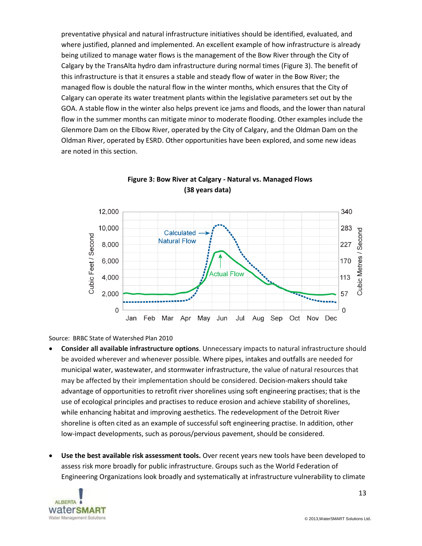preventative physical and natural infrastructure initiatives should be identified, evaluated, and where justified, planned and implemented. An excellent example of how infrastructure is already being utilized to manage water flows is the management of the Bow River through the City of Calgary by the TransAlta hydro dam infrastructure during normal times (Figure 3). The benefit of this infrastructure is that it ensures a stable and steady flow of water in the Bow River; the managed flow is double the natural flow in the winter months, which ensures that the City of Calgary can operate its water treatment plants within the legislative parameters set out by the GOA. A stable flow in the winter also helps prevent ice jams and floods, and the lower than natural flow in the summer months can mitigate minor to moderate flooding. Other examples include the Glenmore Dam on the Elbow River, operated by the City of Calgary, and the Oldman Dam on the Oldman River, operated by ESRD. Other opportunities have been explored, and some new ideas are noted in this section.





Source: BRBC State of Watershed Plan 2010

- **Consider all available infrastructure options**. Unnecessary impacts to natural infrastructure should be avoided wherever and whenever possible. Where pipes, intakes and outfalls are needed for municipal water, wastewater, and stormwater infrastructure, the value of natural resources that may be affected by their implementation should be considered. Decision-makers should take advantage of opportunities to retrofit river shorelines using soft engineering practises; that is the use of ecological principles and practises to reduce erosion and achieve stability of shorelines, while enhancing habitat and improving aesthetics. The redevelopment of the Detroit River shoreline is often cited as an example of successful soft engineering practise. In addition, other low-impact developments, such as porous/pervious pavement, should be considered.
- **Use the best available risk assessment tools.** Over recent years new tools have been developed to assess risk more broadly for public infrastructure. Groups such as the World Federation of Engineering Organizations look broadly and systematically at infrastructure vulnerability to climate

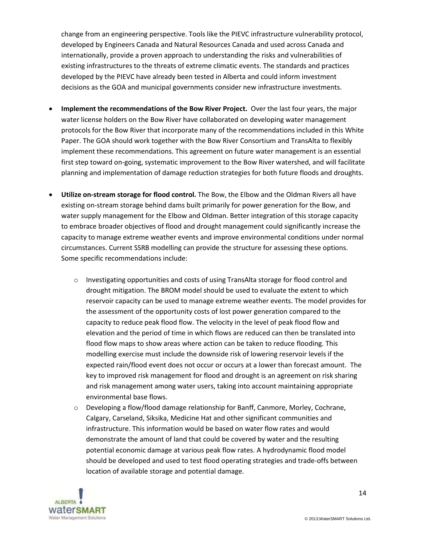change from an engineering perspective. Tools like the PIEVC infrastructure vulnerability protocol, developed by Engineers Canada and Natural Resources Canada and used across Canada and internationally, provide a proven approach to understanding the risks and vulnerabilities of existing infrastructures to the threats of extreme climatic events. The standards and practices developed by the PIEVC have already been tested in Alberta and could inform investment decisions as the GOA and municipal governments consider new infrastructure investments.

- **Implement the recommendations of the Bow River Project.** Over the last four years, the major water license holders on the Bow River have collaborated on developing water management protocols for the Bow River that incorporate many of the recommendations included in this White Paper. The GOA should work together with the Bow River Consortium and TransAlta to flexibly implement these recommendations. This agreement on future water management is an essential first step toward on-going, systematic improvement to the Bow River watershed, and will facilitate planning and implementation of damage reduction strategies for both future floods and droughts.
- **Utilize on-stream storage for flood control.** The Bow, the Elbow and the Oldman Rivers all have existing on-stream storage behind dams built primarily for power generation for the Bow, and water supply management for the Elbow and Oldman. Better integration of this storage capacity to embrace broader objectives of flood and drought management could significantly increase the capacity to manage extreme weather events and improve environmental conditions under normal circumstances. Current SSRB modelling can provide the structure for assessing these options. Some specific recommendations include:
	- o Investigating opportunities and costs of using TransAlta storage for flood control and drought mitigation. The BROM model should be used to evaluate the extent to which reservoir capacity can be used to manage extreme weather events. The model provides for the assessment of the opportunity costs of lost power generation compared to the capacity to reduce peak flood flow. The velocity in the level of peak flood flow and elevation and the period of time in which flows are reduced can then be translated into flood flow maps to show areas where action can be taken to reduce flooding. This modelling exercise must include the downside risk of lowering reservoir levels if the expected rain/flood event does not occur or occurs at a lower than forecast amount. The key to improved risk management for flood and drought is an agreement on risk sharing and risk management among water users, taking into account maintaining appropriate environmental base flows.
	- o Developing a flow/flood damage relationship for Banff, Canmore, Morley, Cochrane, Calgary, Carseland, Siksika, Medicine Hat and other significant communities and infrastructure. This information would be based on water flow rates and would demonstrate the amount of land that could be covered by water and the resulting potential economic damage at various peak flow rates. A hydrodynamic flood model should be developed and used to test flood operating strategies and trade-offs between location of available storage and potential damage.

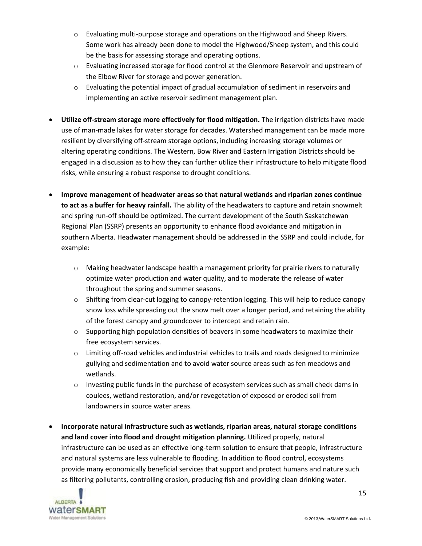- o Evaluating multi-purpose storage and operations on the Highwood and Sheep Rivers. Some work has already been done to model the Highwood/Sheep system, and this could be the basis for assessing storage and operating options.
- o Evaluating increased storage for flood control at the Glenmore Reservoir and upstream of the Elbow River for storage and power generation.
- $\circ$  Evaluating the potential impact of gradual accumulation of sediment in reservoirs and implementing an active reservoir sediment management plan.
- **Utilize off-stream storage more effectively for flood mitigation.** The irrigation districts have made use of man-made lakes for water storage for decades. Watershed management can be made more resilient by diversifying off-stream storage options, including increasing storage volumes or altering operating conditions. The Western, Bow River and Eastern Irrigation Districts should be engaged in a discussion as to how they can further utilize their infrastructure to help mitigate flood risks, while ensuring a robust response to drought conditions.
- **Improve management of headwater areas so that natural wetlands and riparian zones continue to act as a buffer for heavy rainfall.** The ability of the headwaters to capture and retain snowmelt and spring run-off should be optimized. The current development of the South Saskatchewan Regional Plan (SSRP) presents an opportunity to enhance flood avoidance and mitigation in southern Alberta. Headwater management should be addressed in the SSRP and could include, for example:
	- o Making headwater landscape health a management priority for prairie rivers to naturally optimize water production and water quality, and to moderate the release of water throughout the spring and summer seasons.
	- $\circ$  Shifting from clear-cut logging to canopy-retention logging. This will help to reduce canopy snow loss while spreading out the snow melt over a longer period, and retaining the ability of the forest canopy and groundcover to intercept and retain rain.
	- $\circ$  Supporting high population densities of beavers in some headwaters to maximize their free ecosystem services.
	- $\circ$  Limiting off-road vehicles and industrial vehicles to trails and roads designed to minimize gullying and sedimentation and to avoid water source areas such as fen meadows and wetlands.
	- o Investing public funds in the purchase of ecosystem services such as small check dams in coulees, wetland restoration, and/or revegetation of exposed or eroded soil from landowners in source water areas.
- **Incorporate natural infrastructure such as wetlands, riparian areas, natural storage conditions and land cover into flood and drought mitigation planning.** Utilized properly, natural infrastructure can be used as an effective long-term solution to ensure that people, infrastructure and natural systems are less vulnerable to flooding. In addition to flood control, ecosystems provide many economically beneficial services that support and protect humans and nature such as filtering pollutants, controlling erosion, producing fish and providing clean drinking water.

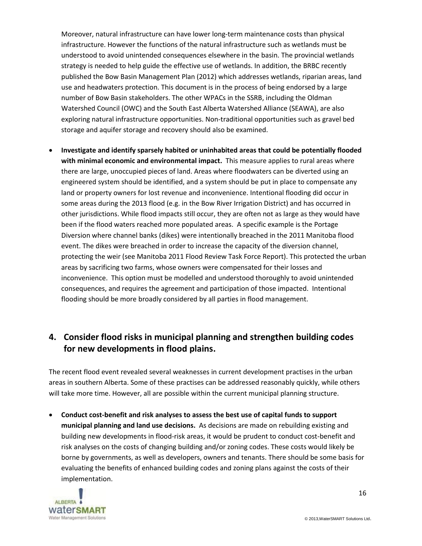Moreover, natural infrastructure can have lower long-term maintenance costs than physical infrastructure. However the functions of the natural infrastructure such as wetlands must be understood to avoid unintended consequences elsewhere in the basin. The provincial wetlands strategy is needed to help guide the effective use of wetlands. In addition, the BRBC recently published the Bow Basin Management Plan (2012) which addresses wetlands, riparian areas, land use and headwaters protection. This document is in the process of being endorsed by a large number of Bow Basin stakeholders. The other WPACs in the SSRB, including the Oldman Watershed Council (OWC) and the South East Alberta Watershed Alliance (SEAWA), are also exploring natural infrastructure opportunities. Non-traditional opportunities such as gravel bed storage and aquifer storage and recovery should also be examined.

 **Investigate and identify sparsely habited or uninhabited areas that could be potentially flooded with minimal economic and environmental impact.** This measure applies to rural areas where there are large, unoccupied pieces of land. Areas where floodwaters can be diverted using an engineered system should be identified, and a system should be put in place to compensate any land or property owners for lost revenue and inconvenience. Intentional flooding did occur in some areas during the 2013 flood (e.g. in the Bow River Irrigation District) and has occurred in other jurisdictions. While flood impacts still occur, they are often not as large as they would have been if the flood waters reached more populated areas. A specific example is the Portage Diversion where channel banks (dikes) were intentionally breached in the 2011 Manitoba flood event. The dikes were breached in order to increase the capacity of the diversion channel, protecting the weir (see Manitoba 2011 Flood Review Task Force Report). This protected the urban areas by sacrificing two farms, whose owners were compensated for their losses and inconvenience. This option must be modelled and understood thoroughly to avoid unintended consequences, and requires the agreement and participation of those impacted. Intentional flooding should be more broadly considered by all parties in flood management.

# <span id="page-15-0"></span>**4. Consider flood risks in municipal planning and strengthen building codes for new developments in flood plains.**

The recent flood event revealed several weaknesses in current development practises in the urban areas in southern Alberta. Some of these practises can be addressed reasonably quickly, while others will take more time. However, all are possible within the current municipal planning structure.

 **Conduct cost-benefit and risk analyses to assess the best use of capital funds to support municipal planning and land use decisions.** As decisions are made on rebuilding existing and building new developments in flood-risk areas, it would be prudent to conduct cost-benefit and risk analyses on the costs of changing building and/or zoning codes. These costs would likely be borne by governments, as well as developers, owners and tenants. There should be some basis for evaluating the benefits of enhanced building codes and zoning plans against the costs of their implementation.

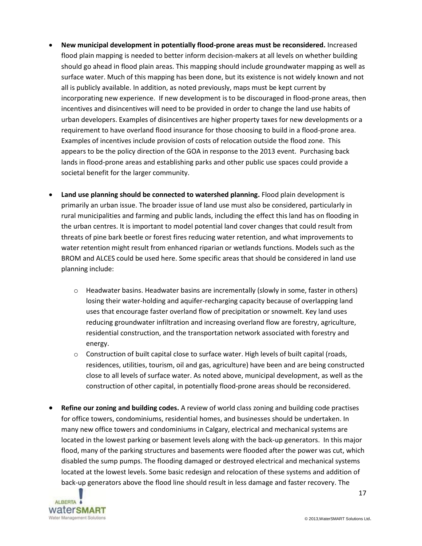- **New municipal development in potentially flood-prone areas must be reconsidered.** Increased flood plain mapping is needed to better inform decision-makers at all levels on whether building should go ahead in flood plain areas. This mapping should include groundwater mapping as well as surface water. Much of this mapping has been done, but its existence is not widely known and not all is publicly available. In addition, as noted previously, maps must be kept current by incorporating new experience. If new development is to be discouraged in flood-prone areas, then incentives and disincentives will need to be provided in order to change the land use habits of urban developers. Examples of disincentives are higher property taxes for new developments or a requirement to have overland flood insurance for those choosing to build in a flood-prone area. Examples of incentives include provision of costs of relocation outside the flood zone. This appears to be the policy direction of the GOA in response to the 2013 event. Purchasing back lands in flood-prone areas and establishing parks and other public use spaces could provide a societal benefit for the larger community.
- **Land use planning should be connected to watershed planning.** Flood plain development is primarily an urban issue. The broader issue of land use must also be considered, particularly in rural municipalities and farming and public lands, including the effect this land has on flooding in the urban centres. It is important to model potential land cover changes that could result from threats of pine bark beetle or forest fires reducing water retention, and what improvements to water retention might result from enhanced riparian or wetlands functions. Models such as the BROM and ALCES could be used here. Some specific areas that should be considered in land use planning include:
	- o Headwater basins. Headwater basins are incrementally (slowly in some, faster in others) losing their water-holding and aquifer-recharging capacity because of overlapping land uses that encourage faster overland flow of precipitation or snowmelt. Key land uses reducing groundwater infiltration and increasing overland flow are forestry, agriculture, residential construction, and the transportation network associated with forestry and energy.
	- $\circ$  Construction of built capital close to surface water. High levels of built capital (roads, residences, utilities, tourism, oil and gas, agriculture) have been and are being constructed close to all levels of surface water. As noted above, municipal development, as well as the construction of other capital, in potentially flood-prone areas should be reconsidered.
- **Refine our zoning and building codes.** A review of world class zoning and building code practises for office towers, condominiums, residential homes, and businesses should be undertaken. In many new office towers and condominiums in Calgary, electrical and mechanical systems are located in the lowest parking or basement levels along with the back-up generators. In this major flood, many of the parking structures and basements were flooded after the power was cut, which disabled the sump pumps. The flooding damaged or destroyed electrical and mechanical systems located at the lowest levels. Some basic redesign and relocation of these systems and addition of back-up generators above the flood line should result in less damage and faster recovery. The



17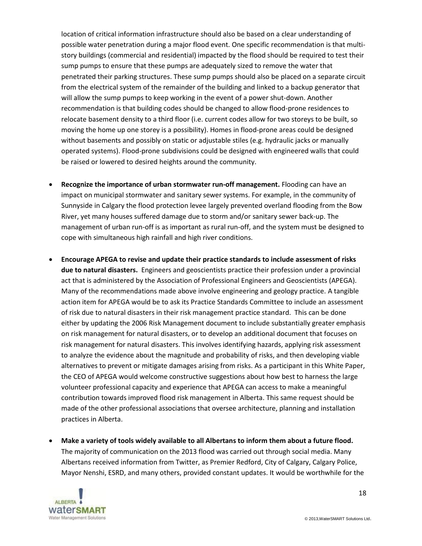location of critical information infrastructure should also be based on a clear understanding of possible water penetration during a major flood event. One specific recommendation is that multistory buildings (commercial and residential) impacted by the flood should be required to test their sump pumps to ensure that these pumps are adequately sized to remove the water that penetrated their parking structures. These sump pumps should also be placed on a separate circuit from the electrical system of the remainder of the building and linked to a backup generator that will allow the sump pumps to keep working in the event of a power shut-down. Another recommendation is that building codes should be changed to allow flood-prone residences to relocate basement density to a third floor (i.e. current codes allow for two storeys to be built, so moving the home up one storey is a possibility). Homes in flood-prone areas could be designed without basements and possibly on static or adjustable stiles (e.g. hydraulic jacks or manually operated systems). Flood-prone subdivisions could be designed with engineered walls that could be raised or lowered to desired heights around the community.

- **Recognize the importance of urban stormwater run-off management.** Flooding can have an impact on municipal stormwater and sanitary sewer systems. For example, in the community of Sunnyside in Calgary the flood protection levee largely prevented overland flooding from the Bow River, yet many houses suffered damage due to storm and/or sanitary sewer back-up. The management of urban run-off is as important as rural run-off, and the system must be designed to cope with simultaneous high rainfall and high river conditions.
- **Encourage APEGA to revise and update their practice standards to include assessment of risks due to natural disasters.** Engineers and geoscientists practice their profession under a provincial act that is administered by the Association of Professional Engineers and Geoscientists (APEGA). Many of the recommendations made above involve engineering and geology practice. A tangible action item for APEGA would be to ask its Practice Standards Committee to include an assessment of risk due to natural disasters in their risk management practice standard. This can be done either by updating the 2006 Risk Management document to include substantially greater emphasis on risk management for natural disasters, or to develop an additional document that focuses on risk management for natural disasters. This involves identifying hazards, applying risk assessment to analyze the evidence about the magnitude and probability of risks, and then developing viable alternatives to prevent or mitigate damages arising from risks. As a participant in this White Paper, the CEO of APEGA would welcome constructive suggestions about how best to harness the large volunteer professional capacity and experience that APEGA can access to make a meaningful contribution towards improved flood risk management in Alberta. This same request should be made of the other professional associations that oversee architecture, planning and installation practices in Alberta.
- **Make a variety of tools widely available to all Albertans to inform them about a future flood.** The majority of communication on the 2013 flood was carried out through social media. Many Albertans received information from Twitter, as Premier Redford, City of Calgary, Calgary Police, Mayor Nenshi, ESRD, and many others, provided constant updates. It would be worthwhile for the



18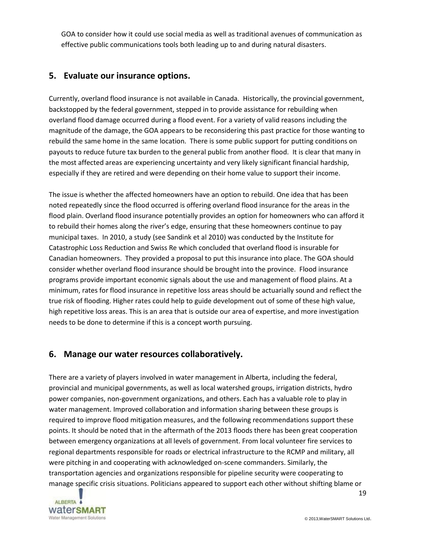GOA to consider how it could use social media as well as traditional avenues of communication as effective public communications tools both leading up to and during natural disasters.

#### <span id="page-18-0"></span>**5. Evaluate our insurance options.**

Currently, overland flood insurance is not available in Canada. Historically, the provincial government, backstopped by the federal government, stepped in to provide assistance for rebuilding when overland flood damage occurred during a flood event. For a variety of valid reasons including the magnitude of the damage, the GOA appears to be reconsidering this past practice for those wanting to rebuild the same home in the same location. There is some public support for putting conditions on payouts to reduce future tax burden to the general public from another flood. It is clear that many in the most affected areas are experiencing uncertainty and very likely significant financial hardship, especially if they are retired and were depending on their home value to support their income.

The issue is whether the affected homeowners have an option to rebuild. One idea that has been noted repeatedly since the flood occurred is offering overland flood insurance for the areas in the flood plain. Overland flood insurance potentially provides an option for homeowners who can afford it to rebuild their homes along the river's edge, ensuring that these homeowners continue to pay municipal taxes. In 2010, a study (see Sandink et al 2010) was conducted by the Institute for Catastrophic Loss Reduction and Swiss Re which concluded that overland flood is insurable for Canadian homeowners. They provided a proposal to put this insurance into place. The GOA should consider whether overland flood insurance should be brought into the province. Flood insurance programs provide important economic signals about the use and management of flood plains. At a minimum, rates for flood insurance in repetitive loss areas should be actuarially sound and reflect the true risk of flooding. Higher rates could help to guide development out of some of these high value, high repetitive loss areas. This is an area that is outside our area of expertise, and more investigation needs to be done to determine if this is a concept worth pursuing.

## <span id="page-18-1"></span>**6. Manage our water resources collaboratively.**

There are a variety of players involved in water management in Alberta, including the federal, provincial and municipal governments, as well as local watershed groups, irrigation districts, hydro power companies, non-government organizations, and others. Each has a valuable role to play in water management. Improved collaboration and information sharing between these groups is required to improve flood mitigation measures, and the following recommendations support these points. It should be noted that in the aftermath of the 2013 floods there has been great cooperation between emergency organizations at all levels of government. From local volunteer fire services to regional departments responsible for roads or electrical infrastructure to the RCMP and military, all were pitching in and cooperating with acknowledged on-scene commanders. Similarly, the transportation agencies and organizations responsible for pipeline security were cooperating to manage specific crisis situations. Politicians appeared to support each other without shifting blame or

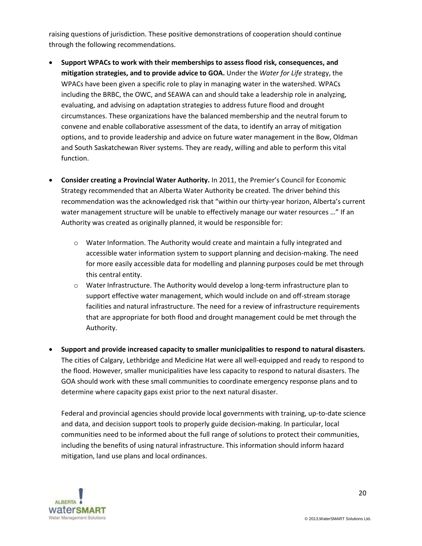raising questions of jurisdiction. These positive demonstrations of cooperation should continue through the following recommendations.

- **Support WPACs to work with their memberships to assess flood risk, consequences, and mitigation strategies, and to provide advice to GOA.** Under the *Water for Life* strategy, the WPACs have been given a specific role to play in managing water in the watershed. WPACs including the BRBC, the OWC, and SEAWA can and should take a leadership role in analyzing, evaluating, and advising on adaptation strategies to address future flood and drought circumstances. These organizations have the balanced membership and the neutral forum to convene and enable collaborative assessment of the data, to identify an array of mitigation options, and to provide leadership and advice on future water management in the Bow, Oldman and South Saskatchewan River systems. They are ready, willing and able to perform this vital function.
- **Consider creating a Provincial Water Authority.** In 2011, the Premier's Council for Economic Strategy recommended that an Alberta Water Authority be created. The driver behind this recommendation was the acknowledged risk that "within our thirty-year horizon, Alberta's current water management structure will be unable to effectively manage our water resources ..." If an Authority was created as originally planned, it would be responsible for:
	- o Water Information. The Authority would create and maintain a fully integrated and accessible water information system to support planning and decision-making. The need for more easily accessible data for modelling and planning purposes could be met through this central entity.
	- $\circ$  Water Infrastructure. The Authority would develop a long-term infrastructure plan to support effective water management, which would include on and off-stream storage facilities and natural infrastructure. The need for a review of infrastructure requirements that are appropriate for both flood and drought management could be met through the Authority.
- **Support and provide increased capacity to smaller municipalities to respond to natural disasters.**  The cities of Calgary, Lethbridge and Medicine Hat were all well-equipped and ready to respond to the flood. However, smaller municipalities have less capacity to respond to natural disasters. The GOA should work with these small communities to coordinate emergency response plans and to determine where capacity gaps exist prior to the next natural disaster.

Federal and provincial agencies should provide local governments with training, up-to-date science and data, and decision support tools to properly guide decision-making. In particular, local communities need to be informed about the full range of solutions to protect their communities, including the benefits of using natural infrastructure. This information should inform hazard mitigation, land use plans and local ordinances.

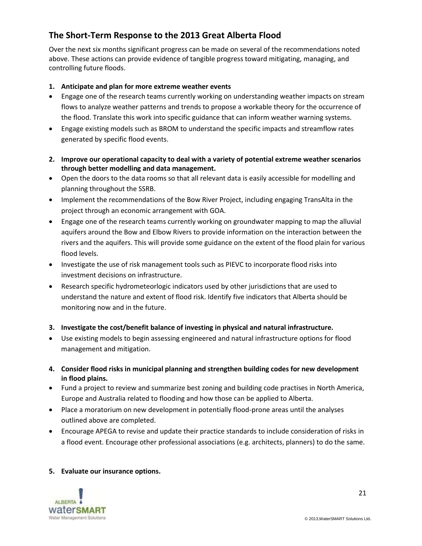# <span id="page-20-0"></span>**The Short-Term Response to the 2013 Great Alberta Flood**

Over the next six months significant progress can be made on several of the recommendations noted above. These actions can provide evidence of tangible progress toward mitigating, managing, and controlling future floods.

#### **1. Anticipate and plan for more extreme weather events**

- Engage one of the research teams currently working on understanding weather impacts on stream flows to analyze weather patterns and trends to propose a workable theory for the occurrence of the flood. Translate this work into specific guidance that can inform weather warning systems.
- Engage existing models such as BROM to understand the specific impacts and streamflow rates generated by specific flood events.
- **2. Improve our operational capacity to deal with a variety of potential extreme weather scenarios through better modelling and data management.**
- Open the doors to the data rooms so that all relevant data is easily accessible for modelling and planning throughout the SSRB.
- Implement the recommendations of the Bow River Project, including engaging TransAlta in the project through an economic arrangement with GOA.
- Engage one of the research teams currently working on groundwater mapping to map the alluvial aquifers around the Bow and Elbow Rivers to provide information on the interaction between the rivers and the aquifers. This will provide some guidance on the extent of the flood plain for various flood levels.
- Investigate the use of risk management tools such as PIEVC to incorporate flood risks into investment decisions on infrastructure.
- Research specific hydrometeorlogic indicators used by other jurisdictions that are used to understand the nature and extent of flood risk. Identify five indicators that Alberta should be monitoring now and in the future.
- **3. Investigate the cost/benefit balance of investing in physical and natural infrastructure.**
- Use existing models to begin assessing engineered and natural infrastructure options for flood management and mitigation.
- **4. Consider flood risks in municipal planning and strengthen building codes for new development in flood plains.**
- Fund a project to review and summarize best zoning and building code practises in North America, Europe and Australia related to flooding and how those can be applied to Alberta.
- Place a moratorium on new development in potentially flood-prone areas until the analyses outlined above are completed.
- Encourage APEGA to revise and update their practice standards to include consideration of risks in a flood event. Encourage other professional associations (e.g. architects, planners) to do the same.

#### **5. Evaluate our insurance options.**

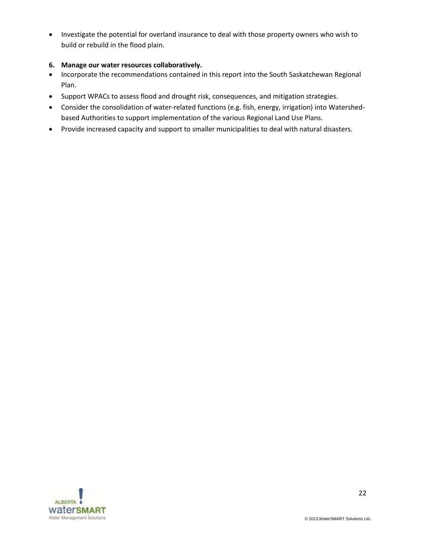Investigate the potential for overland insurance to deal with those property owners who wish to build or rebuild in the flood plain.

#### **6. Manage our water resources collaboratively.**

- Incorporate the recommendations contained in this report into the South Saskatchewan Regional Plan.
- Support WPACs to assess flood and drought risk, consequences, and mitigation strategies.
- Consider the consolidation of water-related functions (e.g. fish, energy, irrigation) into Watershedbased Authorities to support implementation of the various Regional Land Use Plans.
- Provide increased capacity and support to smaller municipalities to deal with natural disasters.

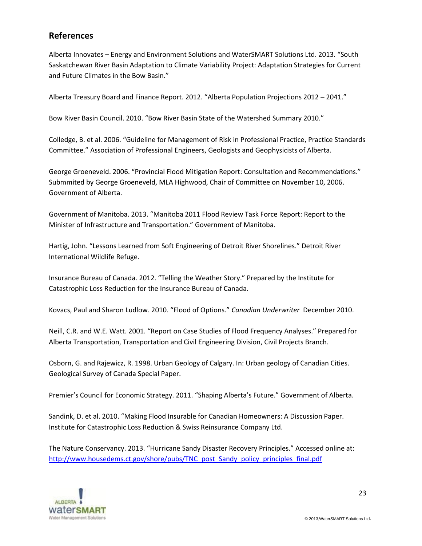#### **References**

Alberta Innovates – Energy and Environment Solutions and WaterSMART Solutions Ltd. 2013. "South Saskatchewan River Basin Adaptation to Climate Variability Project: Adaptation Strategies for Current and Future Climates in the Bow Basin."

Alberta Treasury Board and Finance Report. 2012. "Alberta Population Projections 2012 – 2041."

Bow River Basin Council. 2010. "Bow River Basin State of the Watershed Summary 2010."

Colledge, B. et al. 2006. "Guideline for Management of Risk in Professional Practice, Practice Standards Committee." Association of Professional Engineers, Geologists and Geophysicists of Alberta.

George Groeneveld. 2006. "Provincial Flood Mitigation Report: Consultation and Recommendations." Submmited by George Groeneveld, MLA Highwood, Chair of Committee on November 10, 2006. Government of Alberta.

Government of Manitoba. 2013. "Manitoba 2011 Flood Review Task Force Report: Report to the Minister of Infrastructure and Transportation." Government of Manitoba.

Hartig, John. "Lessons Learned from Soft Engineering of Detroit River Shorelines." Detroit River International Wildlife Refuge.

Insurance Bureau of Canada. 2012. "Telling the Weather Story." Prepared by the Institute for Catastrophic Loss Reduction for the Insurance Bureau of Canada.

Kovacs, Paul and Sharon Ludlow. 2010. "Flood of Options." *Canadian Underwriter* December 2010.

Neill, C.R. and W.E. Watt. 2001. "Report on Case Studies of Flood Frequency Analyses." Prepared for Alberta Transportation, Transportation and Civil Engineering Division, Civil Projects Branch.

Osborn, G. and Rajewicz, R. 1998. Urban Geology of Calgary. In: Urban geology of Canadian Cities. Geological Survey of Canada Special Paper.

Premier's Council for Economic Strategy. 2011. "Shaping Alberta's Future." Government of Alberta.

Sandink, D. et al. 2010. "Making Flood Insurable for Canadian Homeowners: A Discussion Paper. Institute for Catastrophic Loss Reduction & Swiss Reinsurance Company Ltd.

The Nature Conservancy. 2013. "Hurricane Sandy Disaster Recovery Principles." Accessed online at: [http://www.housedems.ct.gov/shore/pubs/TNC\\_post\\_Sandy\\_policy\\_principles\\_final.pdf](http://www.housedems.ct.gov/shore/pubs/TNC_post_Sandy_policy_principles_final.pdf)

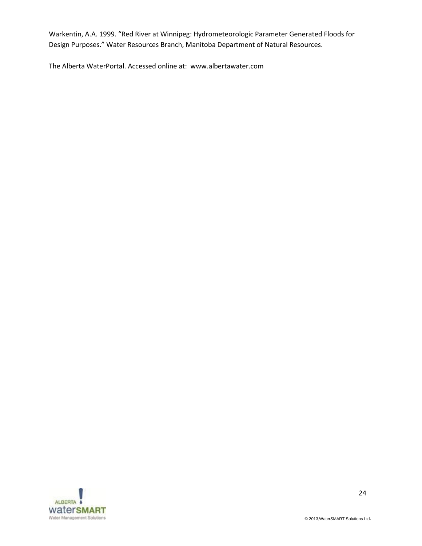Warkentin, A.A. 1999. "Red River at Winnipeg: Hydrometeorologic Parameter Generated Floods for Design Purposes." Water Resources Branch, Manitoba Department of Natural Resources.

The Alberta WaterPortal. Accessed online at: www.albertawater.com

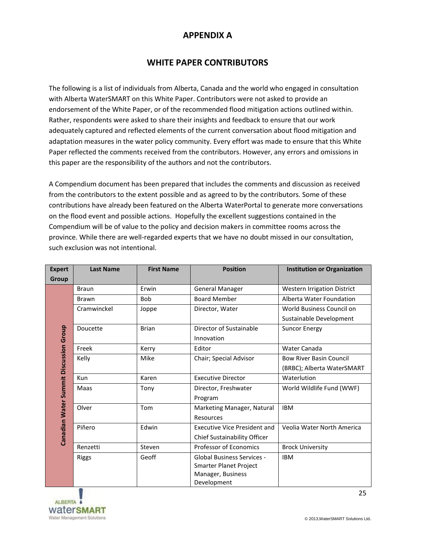#### **APPENDIX A**

#### **WHITE PAPER CONTRIBUTORS**

The following is a list of individuals from Alberta, Canada and the world who engaged in consultation with Alberta WaterSMART on this White Paper. Contributors were not asked to provide an endorsement of the White Paper, or of the recommended flood mitigation actions outlined within. Rather, respondents were asked to share their insights and feedback to ensure that our work adequately captured and reflected elements of the current conversation about flood mitigation and adaptation measures in the water policy community. Every effort was made to ensure that this White Paper reflected the comments received from the contributors. However, any errors and omissions in this paper are the responsibility of the authors and not the contributors.

A Compendium document has been prepared that includes the comments and discussion as received from the contributors to the extent possible and as agreed to by the contributors. Some of these contributions have already been featured on the Alberta WaterPortal to generate more conversations on the flood event and possible actions. Hopefully the excellent suggestions contained in the Compendium will be of value to the policy and decision makers in committee rooms across the province. While there are well-regarded experts that we have no doubt missed in our consultation, such exclusion was not intentional.

| <b>Expert</b>                          | <b>Last Name</b> | <b>First Name</b> | <b>Position</b>                     | <b>Institution or Organization</b> |
|----------------------------------------|------------------|-------------------|-------------------------------------|------------------------------------|
| Group                                  |                  |                   |                                     |                                    |
|                                        | <b>Braun</b>     | Erwin             | <b>General Manager</b>              | Western Irrigation District        |
|                                        | <b>Brawn</b>     | <b>Bob</b>        | <b>Board Member</b>                 | Alberta Water Foundation           |
|                                        | Cramwinckel      | Joppe             | Director, Water                     | World Business Council on          |
|                                        |                  |                   |                                     | Sustainable Development            |
|                                        | Doucette         | <b>Brian</b>      | Director of Sustainable             | <b>Suncor Energy</b>               |
|                                        |                  |                   | Innovation                          |                                    |
| Canadian Water Summit Discussion Group | Freek            | Kerry             | Editor                              | Water Canada                       |
|                                        | Kelly            | Mike              | Chair; Special Advisor              | <b>Bow River Basin Council</b>     |
|                                        |                  |                   |                                     | (BRBC); Alberta WaterSMART         |
|                                        | <b>Kun</b>       | Karen             | <b>Executive Director</b>           | Waterlution                        |
|                                        | Maas             | Tony              | Director, Freshwater                | World Wildlife Fund (WWF)          |
|                                        |                  |                   | Program                             |                                    |
|                                        | Olver            | Tom               | Marketing Manager, Natural          | <b>IBM</b>                         |
|                                        |                  |                   | Resources                           |                                    |
|                                        | Piñero           | Edwin             | <b>Executive Vice President and</b> | Veolia Water North America         |
|                                        |                  |                   | <b>Chief Sustainability Officer</b> |                                    |
|                                        | Renzetti         | Steven            | <b>Professor of Economics</b>       | <b>Brock University</b>            |
|                                        | <b>Riggs</b>     | Geoff             | <b>Global Business Services -</b>   | <b>IBM</b>                         |
|                                        |                  |                   | Smarter Planet Project              |                                    |
|                                        |                  |                   | Manager, Business                   |                                    |
|                                        |                  |                   | Development                         |                                    |

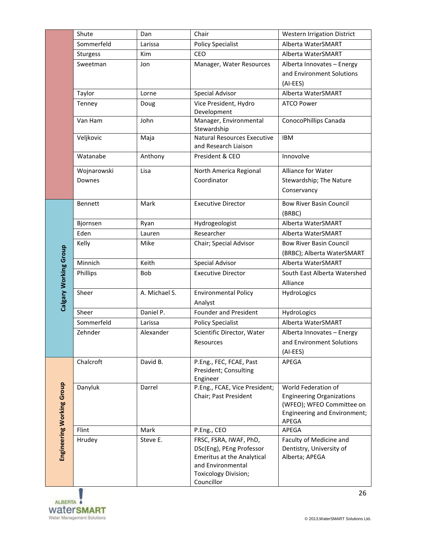|                           | Shute       | Dan           | Chair                                                      | <b>Western Irrigation District</b>       |
|---------------------------|-------------|---------------|------------------------------------------------------------|------------------------------------------|
|                           | Sommerfeld  | Larissa       | <b>Policy Specialist</b>                                   | Alberta WaterSMART                       |
|                           | Sturgess    | Kim           | CEO                                                        | Alberta WaterSMART                       |
|                           | Sweetman    | Jon           | Manager, Water Resources                                   | Alberta Innovates - Energy               |
|                           |             |               |                                                            | and Environment Solutions                |
|                           |             |               |                                                            | (AI-EES)                                 |
|                           | Taylor      | Lorne         | Special Advisor                                            | Alberta WaterSMART                       |
|                           | Tenney      | Doug          | Vice President, Hydro<br>Development                       | <b>ATCO Power</b>                        |
|                           | Van Ham     | John          | Manager, Environmental<br>Stewardship                      | ConocoPhillips Canada                    |
|                           | Veljkovic   | Maja          | <b>Natural Resources Executive</b><br>and Research Liaison | <b>IBM</b>                               |
|                           | Watanabe    | Anthony       | President & CEO                                            | Innovolve                                |
|                           | Wojnarowski | Lisa          | North America Regional                                     | Alliance for Water                       |
|                           | Downes      |               | Coordinator                                                | Stewardship; The Nature                  |
|                           |             |               |                                                            | Conservancy                              |
|                           | Bennett     | Mark          | <b>Executive Director</b>                                  | <b>Bow River Basin Council</b><br>(BRBC) |
|                           | Bjornsen    | Ryan          | Hydrogeologist                                             | Alberta WaterSMART                       |
|                           | Eden        | Lauren        | Researcher                                                 | Alberta WaterSMART                       |
|                           | Kelly       | Mike          | Chair; Special Advisor                                     | <b>Bow River Basin Council</b>           |
|                           |             |               |                                                            | (BRBC); Alberta WaterSMART               |
|                           | Minnich     | Keith         | <b>Special Advisor</b>                                     | Alberta WaterSMART                       |
|                           | Phillips    | Bob           | <b>Executive Director</b>                                  | South East Alberta Watershed             |
|                           |             |               |                                                            | Alliance                                 |
| Calgary Working Group     | Sheer       | A. Michael S. | <b>Environmental Policy</b>                                | HydroLogics                              |
|                           |             |               | Analyst                                                    |                                          |
|                           | Sheer       | Daniel P.     | Founder and President                                      | HydroLogics                              |
|                           | Sommerfeld  | Larissa       | <b>Policy Specialist</b>                                   | Alberta WaterSMART                       |
|                           | Zehnder     | Alexander     | Scientific Director, Water                                 | Alberta Innovates - Energy               |
|                           |             |               | Resources                                                  | and Environment Solutions                |
|                           |             |               |                                                            | (AI-EES)                                 |
|                           | Chalcroft   | David B.      | P.Eng., FEC, FCAE, Past<br>President; Consulting           | APEGA                                    |
|                           |             |               | Engineer                                                   |                                          |
|                           | Danyluk     | Darrel        | P.Eng., FCAE, Vice President;                              | World Federation of                      |
|                           |             |               | Chair; Past President                                      | <b>Engineering Organizations</b>         |
|                           |             |               |                                                            | (WFEO); WFEO Committee on                |
|                           |             |               |                                                            | Engineering and Environment;<br>APEGA    |
|                           | Flint       | Mark          | P.Eng., CEO                                                | APEGA                                    |
| Engineering Working Group | Hrudey      | Steve E.      | FRSC, FSRA, IWAF, PhD,                                     | Faculty of Medicine and                  |
|                           |             |               | DSc(Eng), PEng Professor                                   | Dentistry, University of                 |
|                           |             |               | <b>Emeritus at the Analytical</b>                          | Alberta; APEGA                           |
|                           |             |               | and Environmental                                          |                                          |
|                           |             |               | Toxicology Division;<br>Councillor                         |                                          |
|                           |             |               |                                                            |                                          |



26